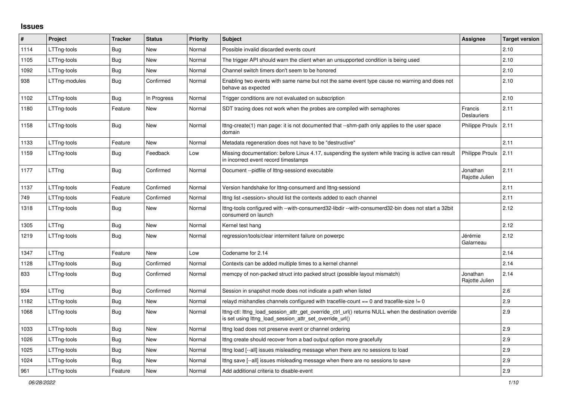## **Issues**

| #    | <b>Project</b> | <b>Tracker</b> | <b>Status</b> | <b>Priority</b> | <b>Subject</b>                                                                                                                                                   | Assignee                      | <b>Target version</b> |
|------|----------------|----------------|---------------|-----------------|------------------------------------------------------------------------------------------------------------------------------------------------------------------|-------------------------------|-----------------------|
| 1114 | LTTng-tools    | Bug            | <b>New</b>    | Normal          | Possible invalid discarded events count                                                                                                                          |                               | 2.10                  |
| 1105 | LTTng-tools    | Bug            | <b>New</b>    | Normal          | The trigger API should warn the client when an unsupported condition is being used                                                                               |                               | 2.10                  |
| 1092 | LTTng-tools    | Bug            | New           | Normal          | Channel switch timers don't seem to be honored                                                                                                                   |                               | 2.10                  |
| 938  | LTTng-modules  | <b>Bug</b>     | Confirmed     | Normal          | Enabling two events with same name but not the same event type cause no warning and does not<br>behave as expected                                               |                               | 2.10                  |
| 1102 | LTTng-tools    | Bug            | In Progress   | Normal          | Trigger conditions are not evaluated on subscription                                                                                                             |                               | 2.10                  |
| 1180 | LTTng-tools    | Feature        | <b>New</b>    | Normal          | SDT tracing does not work when the probes are compiled with semaphores                                                                                           | Francis<br><b>Deslauriers</b> | 2.11                  |
| 1158 | LTTng-tools    | Bug            | New           | Normal          | lttng-create(1) man page: it is not documented that --shm-path only applies to the user space<br>domain                                                          | Philippe Proulx               | 2.11                  |
| 1133 | LTTng-tools    | Feature        | New           | Normal          | Metadata regeneration does not have to be "destructive"                                                                                                          |                               | 2.11                  |
| 1159 | LTTng-tools    | Bug            | Feedback      | Low             | Missing documentation: before Linux 4.17, suspending the system while tracing is active can result<br>in incorrect event record timestamps                       | Philippe Proulx               | 2.11                  |
| 1177 | LTTng          | Bug            | Confirmed     | Normal          | Document --pidfile of Ittng-sessiond executable                                                                                                                  | Jonathan<br>Rajotte Julien    | 2.11                  |
| 1137 | LTTng-tools    | Feature        | Confirmed     | Normal          | Version handshake for lttng-consumerd and lttng-sessiond                                                                                                         |                               | 2.11                  |
| 749  | LTTng-tools    | Feature        | Confirmed     | Normal          | Ittng list <session> should list the contexts added to each channel</session>                                                                                    |                               | 2.11                  |
| 1318 | LTTng-tools    | <b>Bug</b>     | New           | Normal          | lttng-tools configured with --with-consumerd32-libdir --with-consumerd32-bin does not start a 32bit<br>consumerd on launch                                       |                               | 2.12                  |
| 1305 | LTTng          | Bug            | New           | Normal          | Kernel test hang                                                                                                                                                 |                               | 2.12                  |
| 1219 | LTTng-tools    | <b>Bug</b>     | New           | Normal          | regression/tools/clear intermitent failure on powerpc                                                                                                            | Jérémie<br>Galarneau          | 2.12                  |
| 1347 | LTTng          | Feature        | New           | Low             | Codename for 2.14                                                                                                                                                |                               | 2.14                  |
| 1128 | LTTng-tools    | Bug            | Confirmed     | Normal          | Contexts can be added multiple times to a kernel channel                                                                                                         |                               | 2.14                  |
| 833  | LTTng-tools    | Bug            | Confirmed     | Normal          | memcpy of non-packed struct into packed struct (possible layout mismatch)                                                                                        | Jonathan<br>Rajotte Julien    | 2.14                  |
| 934  | LTTng          | Bug            | Confirmed     | Normal          | Session in snapshot mode does not indicate a path when listed                                                                                                    |                               | 2.6                   |
| 1182 | LTTng-tools    | <b>Bug</b>     | New           | Normal          | relayd mishandles channels configured with tracefile-count $== 0$ and tracefile-size $!= 0$                                                                      |                               | 2.9                   |
| 1068 | LTTng-tools    | <b>Bug</b>     | New           | Normal          | lttng-ctl: lttng_load_session_attr_get_override_ctrl_url() returns NULL when the destination override<br>is set using lttng load session attr set override url() |                               | 2.9                   |
| 1033 | LTTng-tools    | <b>Bug</b>     | <b>New</b>    | Normal          | Ittng load does not preserve event or channel ordering                                                                                                           |                               | 2.9                   |
| 1026 | LTTng-tools    | Bug            | New           | Normal          | Ittng create should recover from a bad output option more gracefully                                                                                             |                               | 2.9                   |
| 1025 | LTTng-tools    | <b>Bug</b>     | New           | Normal          | Ittng load [--all] issues misleading message when there are no sessions to load                                                                                  |                               | 2.9                   |
| 1024 | LTTng-tools    | Bug            | New           | Normal          | Ittng save [--all] issues misleading message when there are no sessions to save                                                                                  |                               | 2.9                   |
| 961  | LTTng-tools    | Feature        | New           | Normal          | Add additional criteria to disable-event                                                                                                                         |                               | 2.9                   |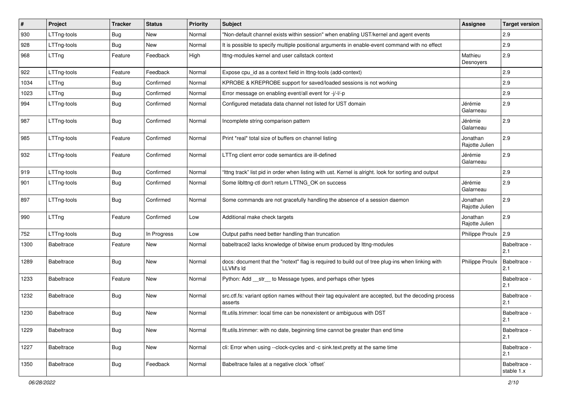| #    | Project           | <b>Tracker</b> | <b>Status</b> | <b>Priority</b> | Subject                                                                                                         | Assignee                   | <b>Target version</b>      |
|------|-------------------|----------------|---------------|-----------------|-----------------------------------------------------------------------------------------------------------------|----------------------------|----------------------------|
| 930  | LTTng-tools       | <b>Bug</b>     | New           | Normal          | "Non-default channel exists within session" when enabling UST/kernel and agent events                           |                            | 2.9                        |
| 928  | LTTng-tools       | <b>Bug</b>     | New           | Normal          | It is possible to specify multiple positional arguments in enable-event command with no effect                  |                            | 2.9                        |
| 968  | LTTng             | Feature        | Feedback      | High            | Ittng-modules kernel and user callstack context                                                                 | Mathieu<br>Desnoyers       | 2.9                        |
| 922  | LTTng-tools       | Feature        | Feedback      | Normal          | Expose cpu_id as a context field in lttng-tools (add-context)                                                   |                            | 2.9                        |
| 1034 | LTTng             | <b>Bug</b>     | Confirmed     | Normal          | KPROBE & KREPROBE support for saved/loaded sessions is not working                                              |                            | 2.9                        |
| 1023 | LTTng             | <b>Bug</b>     | Confirmed     | Normal          | Error message on enabling event/all event for -j/-l/-p                                                          |                            | 2.9                        |
| 994  | LTTng-tools       | <b>Bug</b>     | Confirmed     | Normal          | Configured metadata data channel not listed for UST domain                                                      | Jérémie<br>Galarneau       | 2.9                        |
| 987  | LTTng-tools       | Bug            | Confirmed     | Normal          | Incomplete string comparison pattern                                                                            | Jérémie<br>Galarneau       | 2.9                        |
| 985  | LTTng-tools       | Feature        | Confirmed     | Normal          | Print *real* total size of buffers on channel listing                                                           | Jonathan<br>Rajotte Julien | 2.9                        |
| 932  | LTTng-tools       | Feature        | Confirmed     | Normal          | LTTng client error code semantics are ill-defined                                                               | Jérémie<br>Galarneau       | 2.9                        |
| 919  | LTTng-tools       | <b>Bug</b>     | Confirmed     | Normal          | "Ittng track" list pid in order when listing with ust. Kernel is alright. look for sorting and output           |                            | 2.9                        |
| 901  | LTTng-tools       | <b>Bug</b>     | Confirmed     | Normal          | Some liblttng-ctl don't return LTTNG_OK on success                                                              | Jérémie<br>Galarneau       | 2.9                        |
| 897  | LTTng-tools       | <b>Bug</b>     | Confirmed     | Normal          | Some commands are not gracefully handling the absence of a session daemon                                       | Jonathan<br>Rajotte Julien | 2.9                        |
| 990  | LTTng             | Feature        | Confirmed     | Low             | Additional make check targets                                                                                   | Jonathan<br>Rajotte Julien | 2.9                        |
| 752  | LTTng-tools       | Bug            | In Progress   | Low             | Output paths need better handling than truncation                                                               | Philippe Proulx            | 2.9                        |
| 1300 | <b>Babeltrace</b> | Feature        | New           | Normal          | babeltrace2 lacks knowledge of bitwise enum produced by lttng-modules                                           |                            | Babeltrace -<br>2.1        |
| 1289 | <b>Babeltrace</b> | Bug            | New           | Normal          | docs: document that the "notext" flag is required to build out of tree plug-ins when linking with<br>LLVM's Id  | <b>Philippe Proulx</b>     | Babeltrace -<br>2.1        |
| 1233 | <b>Babeltrace</b> | Feature        | New           | Normal          | Python: Add __str__ to Message types, and perhaps other types                                                   |                            | Babeltrace -<br>2.1        |
| 1232 | <b>Babeltrace</b> | <b>Bug</b>     | New           | Normal          | src.ctf.fs: variant option names without their tag equivalent are accepted, but the decoding process<br>asserts |                            | Babeltrace -<br>2.1        |
| 1230 | <b>Babeltrace</b> | <b>Bug</b>     | New           | Normal          | flt.utils.trimmer: local time can be nonexistent or ambiguous with DST                                          |                            | Babeltrace -<br>2.1        |
| 1229 | Babeltrace        | <b>Bug</b>     | New           | Normal          | flt.utils.trimmer: with no date, beginning time cannot be greater than end time                                 |                            | Babeltrace -<br>2.1        |
| 1227 | Babeltrace        | <b>Bug</b>     | New           | Normal          | cli: Error when using --clock-cycles and -c sink.text.pretty at the same time                                   |                            | Babeltrace -<br>2.1        |
| 1350 | <b>Babeltrace</b> | Bug            | Feedback      | Normal          | Babeltrace failes at a negative clock `offset`                                                                  |                            | Babeltrace -<br>stable 1.x |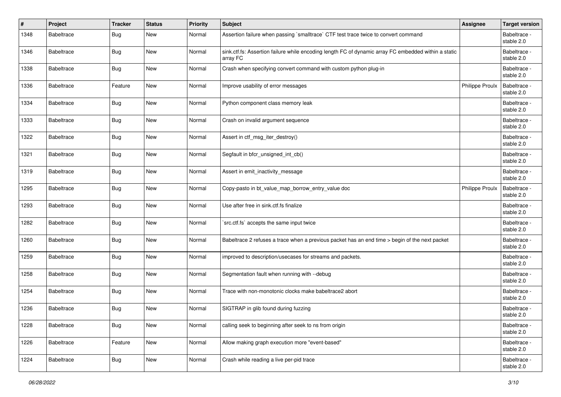| #    | Project           | <b>Tracker</b> | <b>Status</b> | <b>Priority</b> | <b>Subject</b>                                                                                                   | Assignee               | <b>Target version</b>      |
|------|-------------------|----------------|---------------|-----------------|------------------------------------------------------------------------------------------------------------------|------------------------|----------------------------|
| 1348 | <b>Babeltrace</b> | Bug            | New           | Normal          | Assertion failure when passing `smalltrace` CTF test trace twice to convert command                              |                        | Babeltrace -<br>stable 2.0 |
| 1346 | <b>Babeltrace</b> | <b>Bug</b>     | New           | Normal          | sink.ctf.fs: Assertion failure while encoding length FC of dynamic array FC embedded within a static<br>array FC |                        | Babeltrace -<br>stable 2.0 |
| 1338 | <b>Babeltrace</b> | Bug            | New           | Normal          | Crash when specifying convert command with custom python plug-in                                                 |                        | Babeltrace -<br>stable 2.0 |
| 1336 | <b>Babeltrace</b> | Feature        | New           | Normal          | Improve usability of error messages                                                                              | Philippe Proulx        | Babeltrace -<br>stable 2.0 |
| 1334 | Babeltrace        | <b>Bug</b>     | New           | Normal          | Python component class memory leak                                                                               |                        | Babeltrace -<br>stable 2.0 |
| 1333 | Babeltrace        | Bug            | New           | Normal          | Crash on invalid argument sequence                                                                               |                        | Babeltrace -<br>stable 2.0 |
| 1322 | <b>Babeltrace</b> | Bug            | New           | Normal          | Assert in ctf_msg_iter_destroy()                                                                                 |                        | Babeltrace -<br>stable 2.0 |
| 1321 | <b>Babeltrace</b> | Bug            | New           | Normal          | Segfault in bfcr_unsigned_int_cb()                                                                               |                        | Babeltrace -<br>stable 2.0 |
| 1319 | <b>Babeltrace</b> | Bug            | New           | Normal          | Assert in emit_inactivity_message                                                                                |                        | Babeltrace -<br>stable 2.0 |
| 1295 | <b>Babeltrace</b> | Bug            | New           | Normal          | Copy-pasto in bt_value_map_borrow_entry_value doc                                                                | <b>Philippe Proulx</b> | Babeltrace -<br>stable 2.0 |
| 1293 | <b>Babeltrace</b> | Bug            | New           | Normal          | Use after free in sink.ctf.fs finalize                                                                           |                        | Babeltrace -<br>stable 2.0 |
| 1282 | Babeltrace        | Bug            | New           | Normal          | src.ctf.fs' accepts the same input twice                                                                         |                        | Babeltrace -<br>stable 2.0 |
| 1260 | Babeltrace        | Bug            | New           | Normal          | Babeltrace 2 refuses a trace when a previous packet has an end time > begin of the next packet                   |                        | Babeltrace -<br>stable 2.0 |
| 1259 | <b>Babeltrace</b> | Bug            | New           | Normal          | improved to description/usecases for streams and packets.                                                        |                        | Babeltrace -<br>stable 2.0 |
| 1258 | <b>Babeltrace</b> | <b>Bug</b>     | New           | Normal          | Segmentation fault when running with --debug                                                                     |                        | Babeltrace -<br>stable 2.0 |
| 1254 | <b>Babeltrace</b> | <b>Bug</b>     | New           | Normal          | Trace with non-monotonic clocks make babeltrace2 abort                                                           |                        | Babeltrace -<br>stable 2.0 |
| 1236 | <b>Babeltrace</b> | Bug            | New           | Normal          | SIGTRAP in glib found during fuzzing                                                                             |                        | Babeltrace -<br>stable 2.0 |
| 1228 | Babeltrace        | <b>Bug</b>     | New           | Normal          | calling seek to beginning after seek to ns from origin                                                           |                        | Babeltrace -<br>stable 2.0 |
| 1226 | Babeltrace        | Feature        | New           | Normal          | Allow making graph execution more "event-based"                                                                  |                        | Babeltrace -<br>stable 2.0 |
| 1224 | Babeltrace        | <b>Bug</b>     | New           | Normal          | Crash while reading a live per-pid trace                                                                         |                        | Babeltrace -<br>stable 2.0 |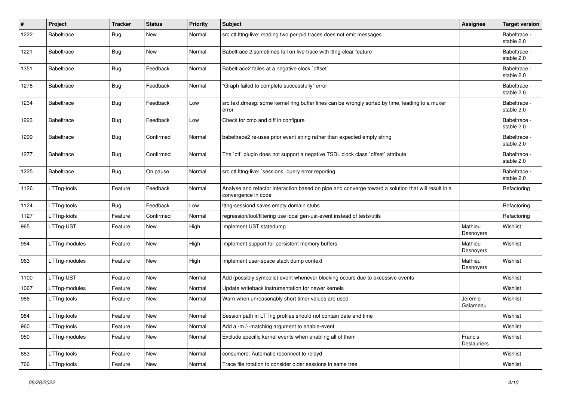| $\pmb{\#}$ | Project           | Tracker    | <b>Status</b> | <b>Priority</b> | Subject                                                                                                                    | <b>Assignee</b>        | <b>Target version</b>      |
|------------|-------------------|------------|---------------|-----------------|----------------------------------------------------------------------------------------------------------------------------|------------------------|----------------------------|
| 1222       | <b>Babeltrace</b> | <b>Bug</b> | New           | Normal          | src.ctf.lttng-live: reading two per-pid traces does not emit messages                                                      |                        | Babeltrace -<br>stable 2.0 |
| 1221       | Babeltrace        | <b>Bug</b> | <b>New</b>    | Normal          | Babeltrace 2 sometimes fail on live trace with Ittng-clear feature                                                         |                        | Babeltrace -<br>stable 2.0 |
| 1351       | Babeltrace        | <b>Bug</b> | Feedback      | Normal          | Babeltrace2 failes at a negative clock `offset`                                                                            |                        | Babeltrace -<br>stable 2.0 |
| 1278       | <b>Babeltrace</b> | <b>Bug</b> | Feedback      | Normal          | "Graph failed to complete successfully" error                                                                              |                        | Babeltrace -<br>stable 2.0 |
| 1234       | <b>Babeltrace</b> | <b>Bug</b> | Feedback      | Low             | src.text.dmesg: some kernel ring buffer lines can be wrongly sorted by time, leading to a muxer<br>error                   |                        | Babeltrace -<br>stable 2.0 |
| 1223       | <b>Babeltrace</b> | Bug        | Feedback      | Low             | Check for cmp and diff in configure                                                                                        |                        | Babeltrace -<br>stable 2.0 |
| 1299       | Babeltrace        | Bug        | Confirmed     | Normal          | babeltrace2 re-uses prior event string rather than expected empty string                                                   |                        | Babeltrace -<br>stable 2.0 |
| 1277       | <b>Babeltrace</b> | <b>Bug</b> | Confirmed     | Normal          | The `ctf` plugin does not support a negative TSDL clock class `offset` attribute                                           |                        | Babeltrace -<br>stable 2.0 |
| 1225       | Babeltrace        | Bug        | On pause      | Normal          | src.ctf.lttng-live: `sessions` query error reporting                                                                       |                        | Babeltrace -<br>stable 2.0 |
| 1126       | LTTng-tools       | Feature    | Feedback      | Normal          | Analyse and refactor interaction based on pipe and converge toward a solution that will result in a<br>convergence in code |                        | Refactoring                |
| 1124       | LTTng-tools       | <b>Bug</b> | Feedback      | Low             | Ittng-sessiond saves empty domain stubs                                                                                    |                        | Refactoring                |
| 1127       | LTTng-tools       | Feature    | Confirmed     | Normal          | regression/tool/filtering use local gen-ust-event instead of tests/utils                                                   |                        | Refactoring                |
| 965        | LTTng-UST         | Feature    | New           | High            | Implement UST statedump                                                                                                    | Mathieu<br>Desnoyers   | Wishlist                   |
| 964        | LTTng-modules     | Feature    | <b>New</b>    | High            | Implement support for persistent memory buffers                                                                            | Mathieu<br>Desnoyers   | Wishlist                   |
| 963        | LTTng-modules     | Feature    | <b>New</b>    | High            | Implement user-space stack dump context                                                                                    | Mathieu<br>Desnoyers   | Wishlist                   |
| 1100       | LTTng-UST         | Feature    | New           | Normal          | Add (possibly symbolic) event whenever blocking occurs due to excessive events                                             |                        | Wishlist                   |
| 1067       | LTTng-modules     | Feature    | New           | Normal          | Update writeback instrumentation for newer kernels                                                                         |                        | Wishlist                   |
| 986        | LTTng-tools       | Feature    | <b>New</b>    | Normal          | Warn when unreasonably short timer values are used                                                                         | Jérémie<br>Galarneau   | Wishlist                   |
| 984        | LTTng-tools       | Feature    | New           | Normal          | Session path in LTTng profiles should not contain date and time                                                            |                        | Wishlist                   |
| 960        | LTTng-tools       | Feature    | New           | Normal          | Add a -m /--matching argument to enable-event                                                                              |                        | Wishlist                   |
| 950        | LTTng-modules     | Feature    | New           | Normal          | Exclude specific kernel events when enabling all of them                                                                   | Francis<br>Deslauriers | Wishlist                   |
| 883        | LTTng-tools       | Feature    | New           | Normal          | consumerd: Automatic reconnect to relayd                                                                                   |                        | Wishlist                   |
| 766        | LTTng-tools       | Feature    | New           | Normal          | Trace file rotation to consider older sessions in same tree                                                                |                        | Wishlist                   |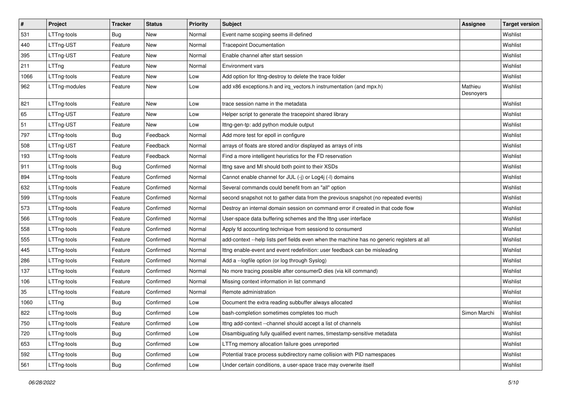| $\pmb{\#}$ | Project       | <b>Tracker</b> | <b>Status</b> | <b>Priority</b> | <b>Subject</b>                                                                             | <b>Assignee</b>      | <b>Target version</b> |
|------------|---------------|----------------|---------------|-----------------|--------------------------------------------------------------------------------------------|----------------------|-----------------------|
| 531        | LTTng-tools   | <b>Bug</b>     | New           | Normal          | Event name scoping seems ill-defined                                                       |                      | Wishlist              |
| 440        | LTTng-UST     | Feature        | New           | Normal          | <b>Tracepoint Documentation</b>                                                            |                      | Wishlist              |
| 395        | LTTng-UST     | Feature        | New           | Normal          | Enable channel after start session                                                         |                      | Wishlist              |
| 211        | LTTng         | Feature        | New           | Normal          | Environment vars                                                                           |                      | Wishlist              |
| 1066       | LTTng-tools   | Feature        | New           | Low             | Add option for Ittng-destroy to delete the trace folder                                    |                      | Wishlist              |
| 962        | LTTng-modules | Feature        | New           | Low             | add x86 exceptions.h and irq_vectors.h instrumentation (and mpx.h)                         | Mathieu<br>Desnoyers | Wishlist              |
| 821        | LTTng-tools   | Feature        | New           | Low             | trace session name in the metadata                                                         |                      | Wishlist              |
| 65         | LTTng-UST     | Feature        | New           | Low             | Helper script to generate the tracepoint shared library                                    |                      | Wishlist              |
| 51         | LTTng-UST     | Feature        | New           | Low             | Ittng-gen-tp: add python module output                                                     |                      | Wishlist              |
| 797        | LTTng-tools   | <b>Bug</b>     | Feedback      | Normal          | Add more test for epoll in configure                                                       |                      | Wishlist              |
| 508        | LTTng-UST     | Feature        | Feedback      | Normal          | arrays of floats are stored and/or displayed as arrays of ints                             |                      | Wishlist              |
| 193        | LTTng-tools   | Feature        | Feedback      | Normal          | Find a more intelligent heuristics for the FD reservation                                  |                      | Wishlist              |
| 911        | LTTng-tools   | Bug            | Confirmed     | Normal          | Ittng save and MI should both point to their XSDs                                          |                      | Wishlist              |
| 894        | LTTng-tools   | Feature        | Confirmed     | Normal          | Cannot enable channel for JUL (-j) or Log4j (-l) domains                                   |                      | Wishlist              |
| 632        | LTTng-tools   | Feature        | Confirmed     | Normal          | Several commands could benefit from an "all" option                                        |                      | Wishlist              |
| 599        | LTTng-tools   | Feature        | Confirmed     | Normal          | second snapshot not to gather data from the previous snapshot (no repeated events)         |                      | Wishlist              |
| 573        | LTTng-tools   | Feature        | Confirmed     | Normal          | Destroy an internal domain session on command error if created in that code flow           |                      | Wishlist              |
| 566        | LTTng-tools   | Feature        | Confirmed     | Normal          | User-space data buffering schemes and the lttng user interface                             |                      | Wishlist              |
| 558        | LTTng-tools   | Feature        | Confirmed     | Normal          | Apply fd accounting technique from sessiond to consumerd                                   |                      | Wishlist              |
| 555        | LTTng-tools   | Feature        | Confirmed     | Normal          | add-context --help lists perf fields even when the machine has no generic registers at all |                      | Wishlist              |
| 445        | LTTng-tools   | Feature        | Confirmed     | Normal          | Ittng enable-event and event redefinition: user feedback can be misleading                 |                      | Wishlist              |
| 286        | LTTng-tools   | Feature        | Confirmed     | Normal          | Add a -- logfile option (or log through Syslog)                                            |                      | Wishlist              |
| 137        | LTTng-tools   | Feature        | Confirmed     | Normal          | No more tracing possible after consumerD dies (via kill command)                           |                      | Wishlist              |
| 106        | LTTng-tools   | Feature        | Confirmed     | Normal          | Missing context information in list command                                                |                      | Wishlist              |
| 35         | LTTng-tools   | Feature        | Confirmed     | Normal          | Remote administration                                                                      |                      | Wishlist              |
| 1060       | LTTng         | <b>Bug</b>     | Confirmed     | Low             | Document the extra reading subbuffer always allocated                                      |                      | Wishlist              |
| 822        | LTTng-tools   | <b>Bug</b>     | Confirmed     | Low             | bash-completion sometimes completes too much                                               | Simon Marchi         | Wishlist              |
| 750        | LTTng-tools   | Feature        | Confirmed     | Low             | Ittng add-context --channel should accept a list of channels                               |                      | Wishlist              |
| 720        | LTTng-tools   | <b>Bug</b>     | Confirmed     | Low             | Disambiguating fully qualified event names, timestamp-sensitive metadata                   |                      | Wishlist              |
| 653        | LTTng-tools   | Bug            | Confirmed     | Low             | LTTng memory allocation failure goes unreported                                            |                      | Wishlist              |
| 592        | LTTng-tools   | <b>Bug</b>     | Confirmed     | Low             | Potential trace process subdirectory name collision with PID namespaces                    |                      | Wishlist              |
| 561        | LTTng-tools   | Bug            | Confirmed     | Low             | Under certain conditions, a user-space trace may overwrite itself                          |                      | Wishlist              |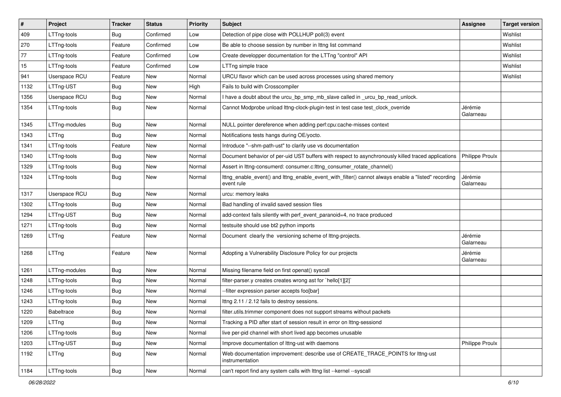| $\vert$ # | Project           | <b>Tracker</b> | <b>Status</b> | Priority | <b>Subject</b>                                                                                                    | <b>Assignee</b>        | <b>Target version</b> |
|-----------|-------------------|----------------|---------------|----------|-------------------------------------------------------------------------------------------------------------------|------------------------|-----------------------|
| 409       | LTTng-tools       | Bug            | Confirmed     | Low      | Detection of pipe close with POLLHUP poll(3) event                                                                |                        | Wishlist              |
| 270       | LTTng-tools       | Feature        | Confirmed     | Low      | Be able to choose session by number in Ittng list command                                                         |                        | Wishlist              |
| 77        | LTTng-tools       | Feature        | Confirmed     | Low      | Create developper documentation for the LTTng "control" API                                                       |                        | Wishlist              |
| 15        | LTTng-tools       | Feature        | Confirmed     | Low      | LTTng simple trace                                                                                                |                        | Wishlist              |
| 941       | Userspace RCU     | Feature        | New           | Normal   | URCU flavor which can be used across processes using shared memory                                                |                        | Wishlist              |
| 1132      | LTTng-UST         | <b>Bug</b>     | New           | High     | Fails to build with Crosscompiler                                                                                 |                        |                       |
| 1356      | Userspace RCU     | <b>Bug</b>     | New           | Normal   | I have a doubt about the urcu_bp_smp_mb_slave called in _urcu_bp_read_unlock.                                     |                        |                       |
| 1354      | LTTng-tools       | Bug            | New           | Normal   | Cannot Modprobe unload lttng-clock-plugin-test in test case test_clock_override                                   | Jérémie<br>Galarneau   |                       |
| 1345      | LTTng-modules     | <b>Bug</b>     | <b>New</b>    | Normal   | NULL pointer dereference when adding perf:cpu:cache-misses context                                                |                        |                       |
| 1343      | LTTng             | <b>Bug</b>     | New           | Normal   | Notifications tests hangs during OE/yocto.                                                                        |                        |                       |
| 1341      | LTTng-tools       | Feature        | New           | Normal   | Introduce "--shm-path-ust" to clarify use vs documentation                                                        |                        |                       |
| 1340      | LTTng-tools       | <b>Bug</b>     | New           | Normal   | Document behavior of per-uid UST buffers with respect to asynchronously killed traced applications                | <b>Philippe Proulx</b> |                       |
| 1329      | LTTng-tools       | <b>Bug</b>     | New           | Normal   | Assert in lttng-consumerd: consumer.c:lttng_consumer_rotate_channel()                                             |                        |                       |
| 1324      | LTTng-tools       | <b>Bug</b>     | New           | Normal   | Ittng_enable_event() and Ittng_enable_event_with_filter() cannot always enable a "listed" recording<br>event rule | Jérémie<br>Galarneau   |                       |
| 1317      | Userspace RCU     | <b>Bug</b>     | New           | Normal   | urcu: memory leaks                                                                                                |                        |                       |
| 1302      | LTTng-tools       | <b>Bug</b>     | New           | Normal   | Bad handling of invalid saved session files                                                                       |                        |                       |
| 1294      | LTTng-UST         | <b>Bug</b>     | New           | Normal   | add-context fails silently with perf event paranoid=4, no trace produced                                          |                        |                       |
| 1271      | LTTng-tools       | <b>Bug</b>     | New           | Normal   | testsuite should use bt2 python imports                                                                           |                        |                       |
| 1269      | LTTng             | Feature        | New           | Normal   | Document clearly the versioning scheme of Ittng-projects.                                                         | Jérémie<br>Galarneau   |                       |
| 1268      | LTTng             | Feature        | New           | Normal   | Adopting a Vulnerability Disclosure Policy for our projects                                                       | Jérémie<br>Galarneau   |                       |
| 1261      | LTTng-modules     | <b>Bug</b>     | <b>New</b>    | Normal   | Missing filename field on first openat() syscall                                                                  |                        |                       |
| 1248      | LTTng-tools       | <b>Bug</b>     | New           | Normal   | filter-parser.y creates creates wrong ast for `hello[1][2]`                                                       |                        |                       |
| 1246      | LTTng-tools       | <b>Bug</b>     | New           | Normal   | --filter expression parser accepts foo[bar]                                                                       |                        |                       |
| 1243      | LTTng-tools       | <b>Bug</b>     | New           | Normal   | Ittng 2.11 / 2.12 fails to destroy sessions.                                                                      |                        |                       |
| 1220      | <b>Babeltrace</b> | <b>Bug</b>     | New           | Normal   | filter.utils.trimmer component does not support streams without packets                                           |                        |                       |
| 1209      | LTTng             | Bug            | New           | Normal   | Tracking a PID after start of session result in error on Ittng-sessiond                                           |                        |                       |
| 1206      | LTTng-tools       | <b>Bug</b>     | New           | Normal   | live per-pid channel with short lived app becomes unusable                                                        |                        |                       |
| 1203      | LTTng-UST         | <b>Bug</b>     | New           | Normal   | Improve documentation of Ittng-ust with daemons                                                                   | Philippe Proulx        |                       |
| 1192      | LTTng             | Bug            | New           | Normal   | Web documentation improvement: describe use of CREATE_TRACE_POINTS for lttng-ust<br>instrumentation               |                        |                       |
| 1184      | LTTng-tools       | Bug            | New           | Normal   | can't report find any system calls with lttng list --kernel --syscall                                             |                        |                       |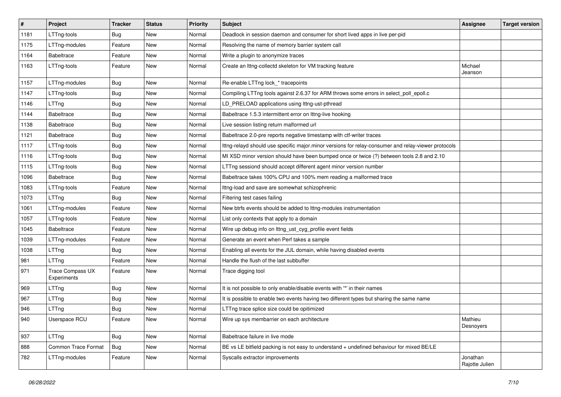| #    | Project                                | <b>Tracker</b> | <b>Status</b> | <b>Priority</b> | Subject                                                                                             | <b>Assignee</b>            | <b>Target version</b> |
|------|----------------------------------------|----------------|---------------|-----------------|-----------------------------------------------------------------------------------------------------|----------------------------|-----------------------|
| 1181 | LTTng-tools                            | Bug            | New           | Normal          | Deadlock in session daemon and consumer for short lived apps in live per-pid                        |                            |                       |
| 1175 | LTTng-modules                          | Feature        | New           | Normal          | Resolving the name of memory barrier system call                                                    |                            |                       |
| 1164 | <b>Babeltrace</b>                      | Feature        | New           | Normal          | Write a plugin to anonymize traces                                                                  |                            |                       |
| 1163 | LTTng-tools                            | Feature        | New           | Normal          | Create an Ittng-collectd skeleton for VM tracking feature                                           | Michael<br>Jeanson         |                       |
| 1157 | LTTng-modules                          | Bug            | New           | Normal          | Re-enable LTTng lock_* tracepoints                                                                  |                            |                       |
| 1147 | LTTng-tools                            | <b>Bug</b>     | New           | Normal          | Compiling LTTng tools against 2.6.37 for ARM throws some errors in select_poll_epoll.c              |                            |                       |
| 1146 | LTTng                                  | Bug            | New           | Normal          | LD_PRELOAD applications using lttng-ust-pthread                                                     |                            |                       |
| 1144 | <b>Babeltrace</b>                      | <b>Bug</b>     | New           | Normal          | Babeltrace 1.5.3 intermittent error on Ittng-live hooking                                           |                            |                       |
| 1138 | <b>Babeltrace</b>                      | Bug            | New           | Normal          | Live session listing return malformed url                                                           |                            |                       |
| 1121 | <b>Babeltrace</b>                      | <b>Bug</b>     | New           | Normal          | Babeltrace 2.0-pre reports negative timestamp with ctf-writer traces                                |                            |                       |
| 1117 | LTTng-tools                            | Bug            | New           | Normal          | Ittng-relayd should use specific major.minor versions for relay-consumer and relay-viewer protocols |                            |                       |
| 1116 | LTTng-tools                            | <b>Bug</b>     | New           | Normal          | MI XSD minor version should have been bumped once or twice (?) between tools 2.8 and 2.10           |                            |                       |
| 1115 | LTTng-tools                            | <b>Bug</b>     | New           | Normal          | LTTng sessiond should accept different agent minor version number                                   |                            |                       |
| 1096 | <b>Babeltrace</b>                      | Bug            | New           | Normal          | Babeltrace takes 100% CPU and 100% mem reading a malformed trace                                    |                            |                       |
| 1083 | LTTng-tools                            | Feature        | New           | Normal          | Ittng-load and save are somewhat schizophrenic                                                      |                            |                       |
| 1073 | LTTng                                  | Bug            | New           | Normal          | Filtering test cases failing                                                                        |                            |                       |
| 1061 | LTTng-modules                          | Feature        | New           | Normal          | New btrfs events should be added to Ittng-modules instrumentation                                   |                            |                       |
| 1057 | LTTng-tools                            | Feature        | New           | Normal          | List only contexts that apply to a domain                                                           |                            |                       |
| 1045 | <b>Babeltrace</b>                      | Feature        | New           | Normal          | Wire up debug info on lttng_ust_cyg_profile event fields                                            |                            |                       |
| 1039 | LTTng-modules                          | Feature        | New           | Normal          | Generate an event when Perf takes a sample                                                          |                            |                       |
| 1038 | LTTng                                  | Bug            | New           | Normal          | Enabling all events for the JUL domain, while having disabled events                                |                            |                       |
| 981  | LTTng                                  | Feature        | New           | Normal          | Handle the flush of the last subbuffer                                                              |                            |                       |
| 971  | <b>Trace Compass UX</b><br>Experiments | Feature        | New           | Normal          | Trace digging tool                                                                                  |                            |                       |
| 969  | LTTng                                  | <b>Bug</b>     | New           | Normal          | It is not possible to only enable/disable events with "*' in their names                            |                            |                       |
| 967  | LTTng                                  | Bug            | New           | Normal          | It is possible to enable two events having two different types but sharing the same name            |                            |                       |
| 946  | LTTng                                  | <b>Bug</b>     | New           | Normal          | LTTng trace splice size could be opitimized                                                         |                            |                       |
| 940  | Userspace RCU                          | Feature        | New           | Normal          | Wire up sys membarrier on each architecture                                                         | Mathieu<br>Desnoyers       |                       |
| 937  | LTTng                                  | <b>Bug</b>     | New           | Normal          | Babeltrace failure in live mode                                                                     |                            |                       |
| 888  | Common Trace Format                    | Bug            | New           | Normal          | BE vs LE bitfield packing is not easy to understand + undefined behaviour for mixed BE/LE           |                            |                       |
| 782  | LTTng-modules                          | Feature        | New           | Normal          | Syscalls extractor improvements                                                                     | Jonathan<br>Rajotte Julien |                       |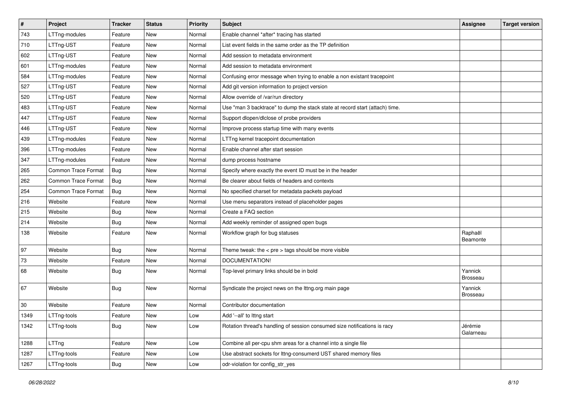| $\vert$ # | Project                    | <b>Tracker</b> | <b>Status</b> | <b>Priority</b> | <b>Subject</b>                                                               | Assignee                   | <b>Target version</b> |
|-----------|----------------------------|----------------|---------------|-----------------|------------------------------------------------------------------------------|----------------------------|-----------------------|
| 743       | LTTng-modules              | Feature        | New           | Normal          | Enable channel *after* tracing has started                                   |                            |                       |
| 710       | LTTng-UST                  | Feature        | New           | Normal          | List event fields in the same order as the TP definition                     |                            |                       |
| 602       | LTTng-UST                  | Feature        | New           | Normal          | Add session to metadata environment                                          |                            |                       |
| 601       | LTTng-modules              | Feature        | New           | Normal          | Add session to metadata environment                                          |                            |                       |
| 584       | LTTng-modules              | Feature        | New           | Normal          | Confusing error message when trying to enable a non existant tracepoint      |                            |                       |
| 527       | LTTng-UST                  | Feature        | New           | Normal          | Add git version information to project version                               |                            |                       |
| 520       | LTTng-UST                  | Feature        | New           | Normal          | Allow override of /var/run directory                                         |                            |                       |
| 483       | LTTng-UST                  | Feature        | New           | Normal          | Use "man 3 backtrace" to dump the stack state at record start (attach) time. |                            |                       |
| 447       | LTTng-UST                  | Feature        | New           | Normal          | Support dlopen/dlclose of probe providers                                    |                            |                       |
| 446       | LTTng-UST                  | Feature        | New           | Normal          | Improve process startup time with many events                                |                            |                       |
| 439       | LTTng-modules              | Feature        | New           | Normal          | LTTng kernel tracepoint documentation                                        |                            |                       |
| 396       | LTTng-modules              | Feature        | New           | Normal          | Enable channel after start session                                           |                            |                       |
| 347       | LTTng-modules              | Feature        | New           | Normal          | dump process hostname                                                        |                            |                       |
| 265       | Common Trace Format        | Bug            | New           | Normal          | Specify where exactly the event ID must be in the header                     |                            |                       |
| 262       | <b>Common Trace Format</b> | Bug            | New           | Normal          | Be clearer about fields of headers and contexts                              |                            |                       |
| 254       | Common Trace Format        | Bug            | New           | Normal          | No specified charset for metadata packets payload                            |                            |                       |
| 216       | Website                    | Feature        | New           | Normal          | Use menu separators instead of placeholder pages                             |                            |                       |
| 215       | Website                    | Bug            | New           | Normal          | Create a FAQ section                                                         |                            |                       |
| 214       | Website                    | Bug            | New           | Normal          | Add weekly reminder of assigned open bugs                                    |                            |                       |
| 138       | Website                    | Feature        | New           | Normal          | Workflow graph for bug statuses                                              | Raphaël<br>Beamonte        |                       |
| 97        | Website                    | Bug            | New           | Normal          | Theme tweak: the $<$ pre $>$ tags should be more visible                     |                            |                       |
| 73        | Website                    | Feature        | New           | Normal          | DOCUMENTATION!                                                               |                            |                       |
| 68        | Website                    | Bug            | New           | Normal          | Top-level primary links should be in bold                                    | Yannick<br><b>Brosseau</b> |                       |
| 67        | Website                    | <b>Bug</b>     | New           | Normal          | Syndicate the project news on the lttng.org main page                        | Yannick<br><b>Brosseau</b> |                       |
| 30        | Website                    | Feature        | New           | Normal          | Contributor documentation                                                    |                            |                       |
| 1349      | LTTng-tools                | Feature        | New           | Low             | Add '--all' to lttng start                                                   |                            |                       |
| 1342      | LTTng-tools                | Bug            | New           | Low             | Rotation thread's handling of session consumed size notifications is racy    | Jérémie<br>Galarneau       |                       |
| 1288      | LTTng                      | Feature        | New           | Low             | Combine all per-cpu shm areas for a channel into a single file               |                            |                       |
| 1287      | LTTng-tools                | Feature        | New           | Low             | Use abstract sockets for lttng-consumerd UST shared memory files             |                            |                       |
| 1267      | LTTng-tools                | <b>Bug</b>     | New           | Low             | odr-violation for config_str_yes                                             |                            |                       |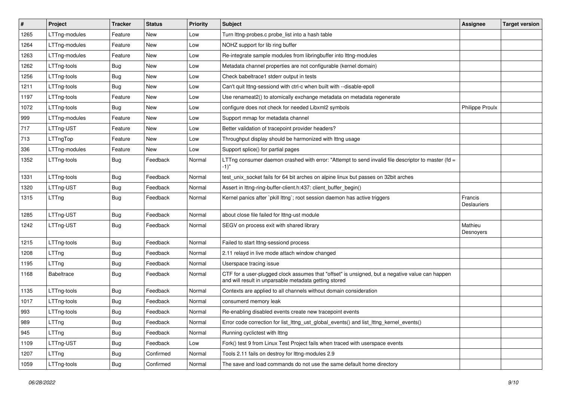| $\#$ | Project           | <b>Tracker</b> | <b>Status</b> | <b>Priority</b> | <b>Subject</b>                                                                                                                                           | Assignee                      | <b>Target version</b> |
|------|-------------------|----------------|---------------|-----------------|----------------------------------------------------------------------------------------------------------------------------------------------------------|-------------------------------|-----------------------|
| 1265 | LTTng-modules     | Feature        | New           | Low             | Turn lttng-probes.c probe_list into a hash table                                                                                                         |                               |                       |
| 1264 | LTTng-modules     | Feature        | New           | Low             | NOHZ support for lib ring buffer                                                                                                                         |                               |                       |
| 1263 | LTTng-modules     | Feature        | New           | Low             | Re-integrate sample modules from libringbuffer into Ittng-modules                                                                                        |                               |                       |
| 1262 | LTTng-tools       | Bug            | New           | Low             | Metadata channel properties are not configurable (kernel domain)                                                                                         |                               |                       |
| 1256 | LTTng-tools       | Bug            | New           | Low             | Check babeltrace1 stderr output in tests                                                                                                                 |                               |                       |
| 1211 | LTTng-tools       | Bug            | New           | Low             | Can't guit Ittng-sessiond with ctrl-c when built with --disable-epoll                                                                                    |                               |                       |
| 1197 | LTTng-tools       | Feature        | New           | Low             | Use renameat2() to atomically exchange metadata on metadata regenerate                                                                                   |                               |                       |
| 1072 | LTTng-tools       | Bug            | New           | Low             | configure does not check for needed Libxml2 symbols                                                                                                      | <b>Philippe Proulx</b>        |                       |
| 999  | LTTng-modules     | Feature        | New           | Low             | Support mmap for metadata channel                                                                                                                        |                               |                       |
| 717  | LTTng-UST         | Feature        | New           | Low             | Better validation of tracepoint provider headers?                                                                                                        |                               |                       |
| 713  | LTTngTop          | Feature        | New           | Low             | Throughput display should be harmonized with Ittng usage                                                                                                 |                               |                       |
| 336  | LTTng-modules     | Feature        | New           | Low             | Support splice() for partial pages                                                                                                                       |                               |                       |
| 1352 | LTTng-tools       | <b>Bug</b>     | Feedback      | Normal          | LTTng consumer daemon crashed with error: "Attempt to send invalid file descriptor to master (fd =<br>-1)"                                               |                               |                       |
| 1331 | LTTng-tools       | <b>Bug</b>     | Feedback      | Normal          | test_unix_socket fails for 64 bit arches on alpine linux but passes on 32bit arches                                                                      |                               |                       |
| 1320 | LTTng-UST         | Bug            | Feedback      | Normal          | Assert in lttng-ring-buffer-client.h:437: client_buffer_begin()                                                                                          |                               |                       |
| 1315 | LTTng             | <b>Bug</b>     | Feedback      | Normal          | Kernel panics after `pkill lttng`; root session daemon has active triggers                                                                               | Francis<br><b>Deslauriers</b> |                       |
| 1285 | LTTng-UST         | <b>Bug</b>     | Feedback      | Normal          | about close file failed for Ittng-ust module                                                                                                             |                               |                       |
| 1242 | LTTng-UST         | <b>Bug</b>     | Feedback      | Normal          | SEGV on process exit with shared library                                                                                                                 | Mathieu<br>Desnoyers          |                       |
| 1215 | LTTng-tools       | Bug            | Feedback      | Normal          | Failed to start lttng-sessiond process                                                                                                                   |                               |                       |
| 1208 | LTTng             | <b>Bug</b>     | Feedback      | Normal          | 2.11 relayd in live mode attach window changed                                                                                                           |                               |                       |
| 1195 | LTTng             | Bug            | Feedback      | Normal          | Userspace tracing issue                                                                                                                                  |                               |                       |
| 1168 | <b>Babeltrace</b> | Bug            | Feedback      | Normal          | CTF for a user-plugged clock assumes that "offset" is unsigned, but a negative value can happen<br>and will result in unparsable metadata getting stored |                               |                       |
| 1135 | LTTng-tools       | <b>Bug</b>     | Feedback      | Normal          | Contexts are applied to all channels without domain consideration                                                                                        |                               |                       |
| 1017 | LTTng-tools       | Bug            | Feedback      | Normal          | consumerd memory leak                                                                                                                                    |                               |                       |
| 993  | LTTng-tools       | Bug            | Feedback      | Normal          | Re-enabling disabled events create new tracepoint events                                                                                                 |                               |                       |
| 989  | LTTng             | <b>Bug</b>     | Feedback      | Normal          | Error code correction for list_lttng_ust_global_events() and list_lttng_kernel_events()                                                                  |                               |                       |
| 945  | LTTng             | <b>Bug</b>     | Feedback      | Normal          | Running cyclictest with Ittng                                                                                                                            |                               |                       |
| 1109 | LTTng-UST         | <b>Bug</b>     | Feedback      | Low             | Fork() test 9 from Linux Test Project fails when traced with userspace events                                                                            |                               |                       |
| 1207 | LTTng             | Bug            | Confirmed     | Normal          | Tools 2.11 fails on destroy for lttng-modules 2.9                                                                                                        |                               |                       |
| 1059 | LTTng-tools       | <b>Bug</b>     | Confirmed     | Normal          | The save and load commands do not use the same default home directory                                                                                    |                               |                       |